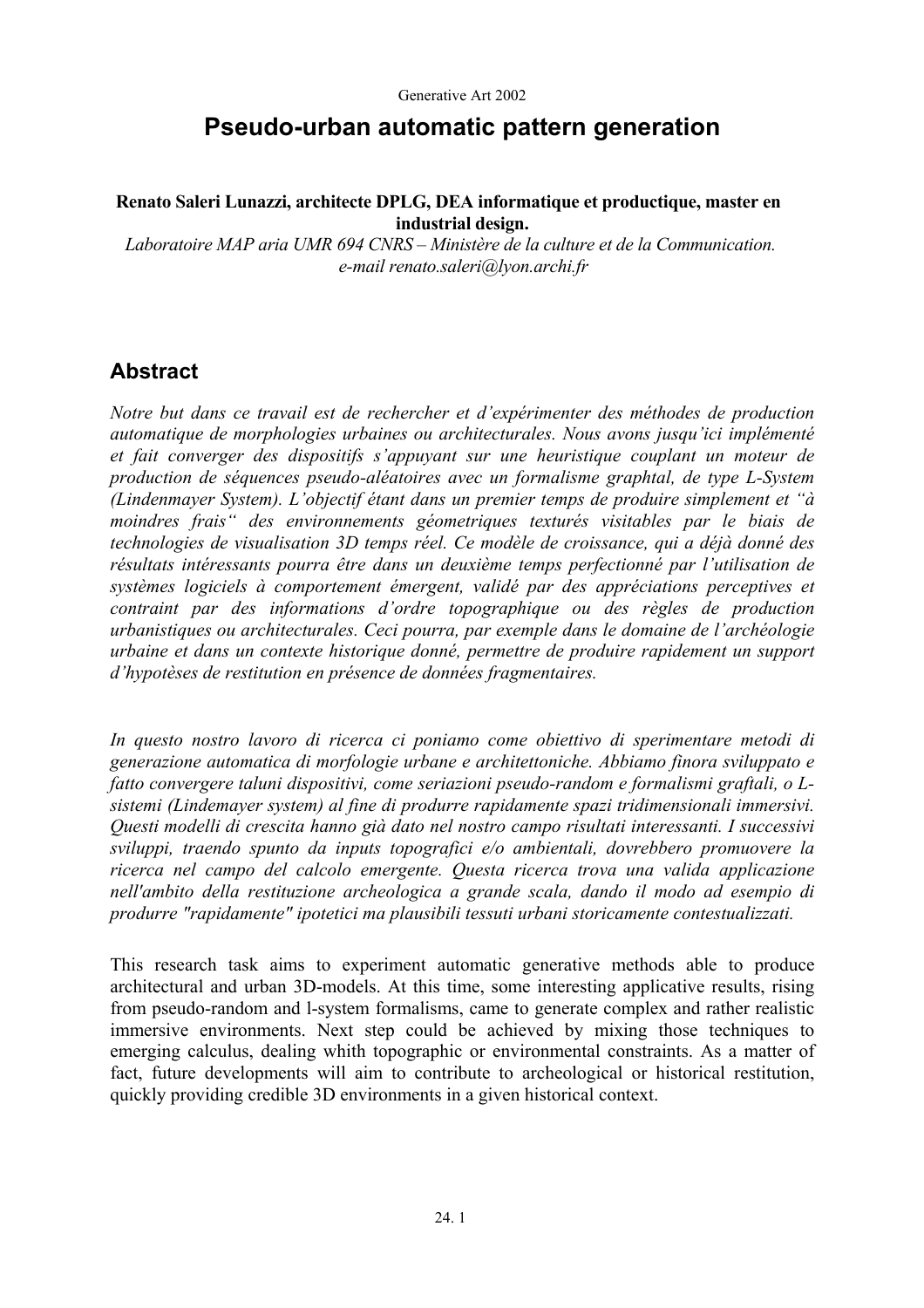# **Pseudo-urban automatic pattern generation**

#### **Renato Saleri Lunazzi, architecte DPLG, DEA informatique et productique, master en industrial design.**

 *Laboratoire MAP aria UMR 694 CNRS – Ministère de la culture et de la Communication. e-mail renato.saleri@lyon.archi.fr* 

## **Abstract**

*Notre but dans ce travail est de rechercher et d'expérimenter des méthodes de production automatique de morphologies urbaines ou architecturales. Nous avons jusqu'ici implémenté et fait converger des dispositifs s'appuyant sur une heuristique couplant un moteur de production de séquences pseudo-aléatoires avec un formalisme graphtal, de type L-System (Lindenmayer System). L'objectif étant dans un premier temps de produire simplement et "à moindres frais" des environnements géometriques texturés visitables par le biais de technologies de visualisation 3D temps réel. Ce modèle de croissance, qui a déjà donné des résultats intéressants pourra être dans un deuxième temps perfectionné par l'utilisation de systèmes logiciels à comportement émergent, validé par des appréciations perceptives et contraint par des informations d'ordre topographique ou des règles de production urbanistiques ou architecturales. Ceci pourra, par exemple dans le domaine de l'archéologie urbaine et dans un contexte historique donné, permettre de produire rapidement un support d'hypotèses de restitution en présence de données fragmentaires.* 

*In questo nostro lavoro di ricerca ci poniamo come obiettivo di sperimentare metodi di generazione automatica di morfologie urbane e architettoniche. Abbiamo finora sviluppato e fatto convergere taluni dispositivi, come seriazioni pseudo-random e formalismi graftali, o Lsistemi (Lindemayer system) al fine di produrre rapidamente spazi tridimensionali immersivi. Questi modelli di crescita hanno già dato nel nostro campo risultati interessanti. I successivi sviluppi, traendo spunto da inputs topografici e/o ambientali, dovrebbero promuovere la ricerca nel campo del calcolo emergente. Questa ricerca trova una valida applicazione nell'ambito della restituzione archeologica a grande scala, dando il modo ad esempio di produrre "rapidamente" ipotetici ma plausibili tessuti urbani storicamente contestualizzati.* 

This research task aims to experiment automatic generative methods able to produce architectural and urban 3D-models. At this time, some interesting applicative results, rising from pseudo-random and l-system formalisms, came to generate complex and rather realistic immersive environments. Next step could be achieved by mixing those techniques to emerging calculus, dealing whith topographic or environmental constraints. As a matter of fact, future developments will aim to contribute to archeological or historical restitution, quickly providing credible 3D environments in a given historical context.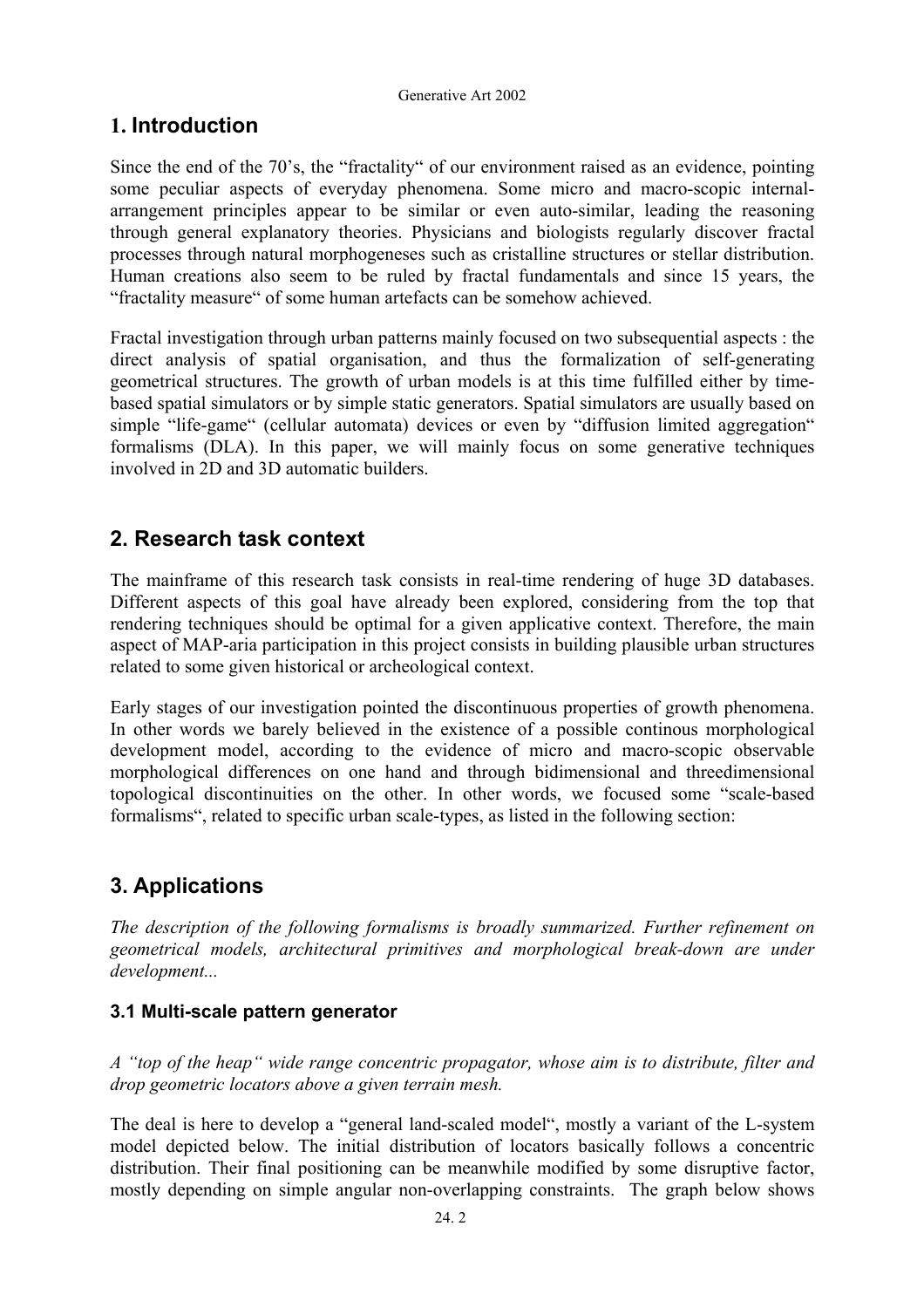## **1. Introduction**

Since the end of the 70's, the "fractality" of our environment raised as an evidence, pointing some peculiar aspects of everyday phenomena. Some micro and macro-scopic internalarrangement principles appear to be similar or even auto-similar, leading the reasoning through general explanatory theories. Physicians and biologists regularly discover fractal processes through natural morphogeneses such as cristalline structures or stellar distribution. Human creations also seem to be ruled by fractal fundamentals and since 15 years, the "fractality measure" of some human artefacts can be somehow achieved.

Fractal investigation through urban patterns mainly focused on two subsequential aspects : the direct analysis of spatial organisation, and thus the formalization of self-generating geometrical structures. The growth of urban models is at this time fulfilled either by timebased spatial simulators or by simple static generators. Spatial simulators are usually based on simple "life-game" (cellular automata) devices or even by "diffusion limited aggregation" formalisms (DLA). In this paper, we will mainly focus on some generative techniques involved in 2D and 3D automatic builders.

# **2. Research task context**

The mainframe of this research task consists in real-time rendering of huge 3D databases. Different aspects of this goal have already been explored, considering from the top that rendering techniques should be optimal for a given applicative context. Therefore, the main aspect of MAP-aria participation in this project consists in building plausible urban structures related to some given historical or archeological context.

Early stages of our investigation pointed the discontinuous properties of growth phenomena. In other words we barely believed in the existence of a possible continous morphological development model, according to the evidence of micro and macro-scopic observable morphological differences on one hand and through bidimensional and threedimensional topological discontinuities on the other. In other words, we focused some "scale-based formalisms", related to specific urban scale-types, as listed in the following section:

# **3. Applications**

*The description of the following formalisms is broadly summarized. Further refinement on geometrical models, architectural primitives and morphological break-down are under development...* 

## **3.1 Multi-scale pattern generator**

*A "top of the heap" wide range concentric propagator, whose aim is to distribute, filter and drop geometric locators above a given terrain mesh.* 

The deal is here to develop a "general land-scaled model", mostly a variant of the L-system model depicted below. The initial distribution of locators basically follows a concentric distribution. Their final positioning can be meanwhile modified by some disruptive factor, mostly depending on simple angular non-overlapping constraints. The graph below shows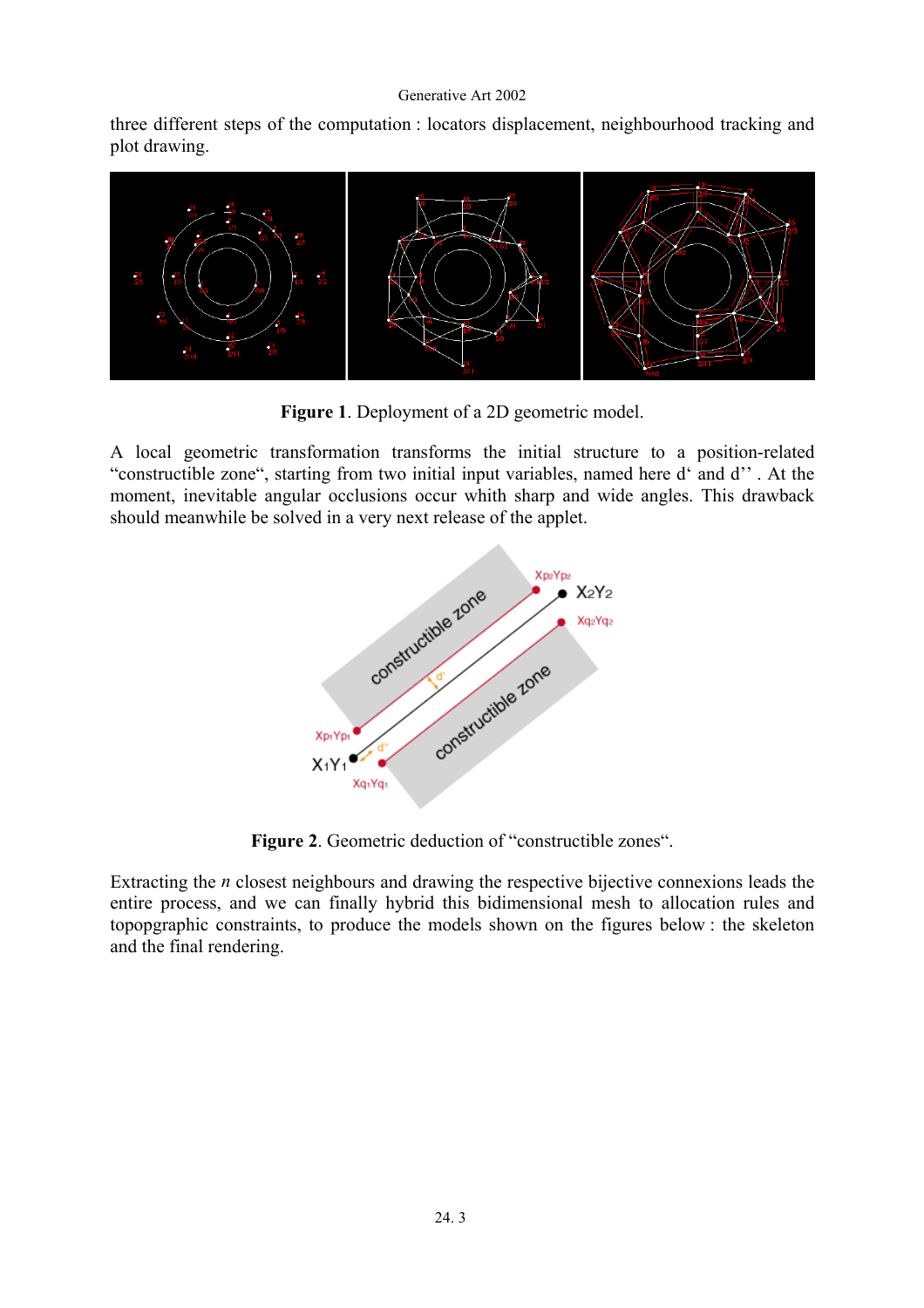three different steps of the computation : locators displacement, neighbourhood tracking and plot drawing.



**Figure 1**. Deployment of a 2D geometric model.

A local geometric transformation transforms the initial structure to a position-related "constructible zone", starting from two initial input variables, named here d' and d'' . At the moment, inevitable angular occlusions occur whith sharp and wide angles. This drawback should meanwhile be solved in a very next release of the applet.



**Figure 2**. Geometric deduction of "constructible zones".

Extracting the *n* closest neighbours and drawing the respective bijective connexions leads the entire process, and we can finally hybrid this bidimensional mesh to allocation rules and topopgraphic constraints, to produce the models shown on the figures below : the skeleton and the final rendering.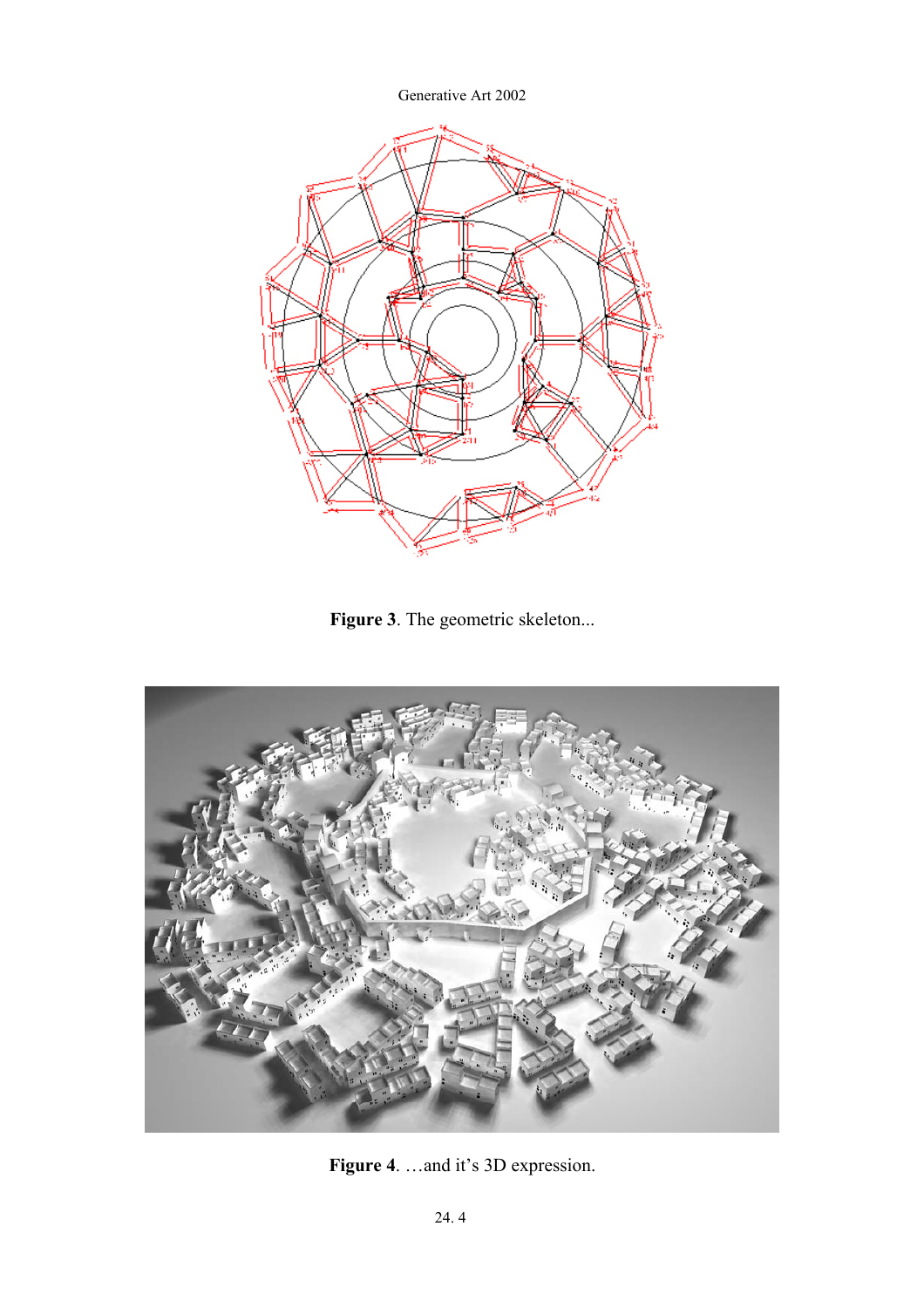

Figure 3. The geometric skeleton...



**Figure 4**. …and it's 3D expression.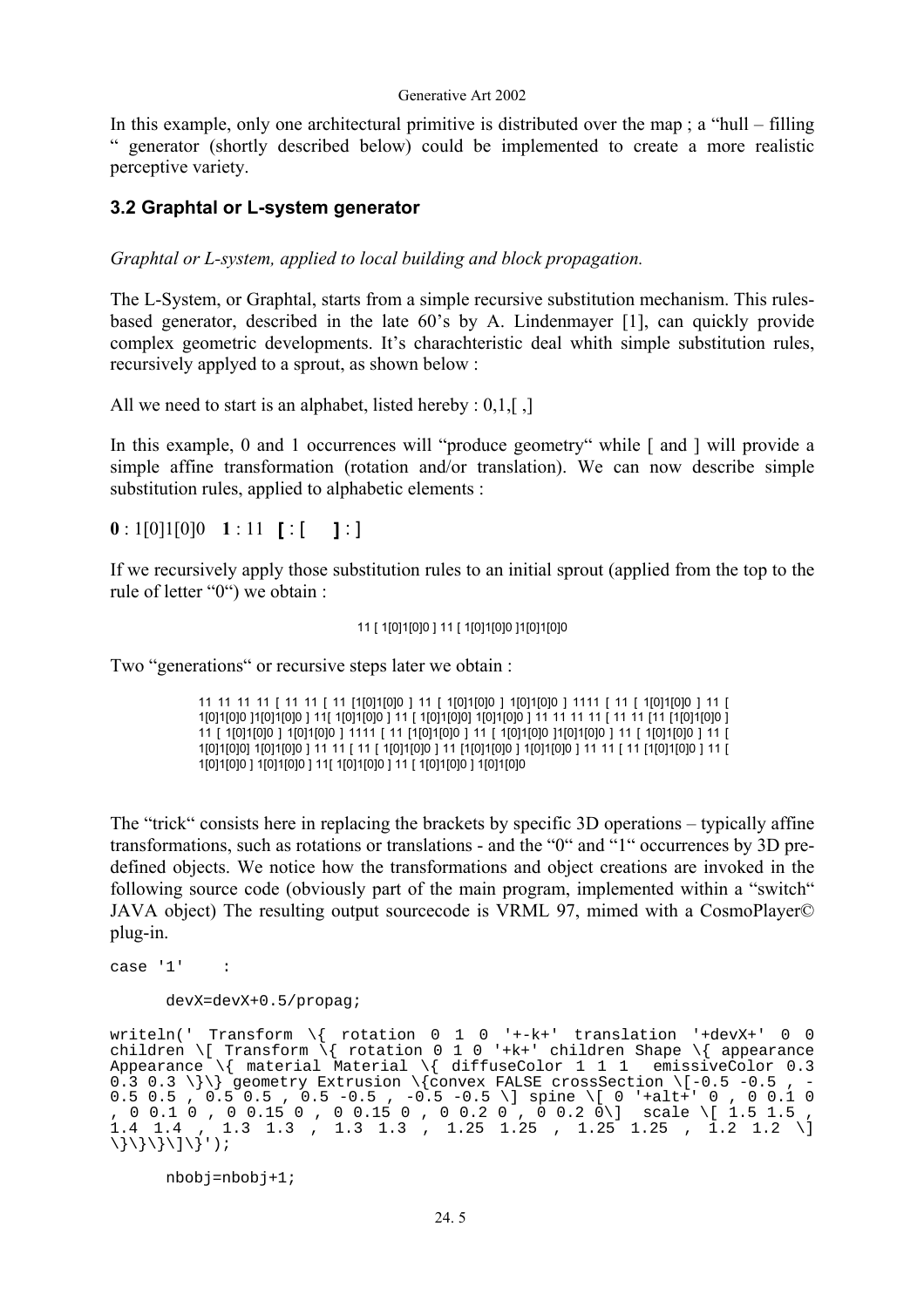In this example, only one architectural primitive is distributed over the map ; a "hull – filling " generator (shortly described below) could be implemented to create a more realistic perceptive variety.

### **3.2 Graphtal or L-system generator**

*Graphtal or L-system, applied to local building and block propagation.* 

The L-System, or Graphtal, starts from a simple recursive substitution mechanism. This rulesbased generator, described in the late 60's by A. Lindenmayer [1], can quickly provide complex geometric developments. It's charachteristic deal whith simple substitution rules, recursively applyed to a sprout, as shown below :

All we need to start is an alphabet, listed hereby  $: 0.1$ ,  $\lceil$ ,  $\rceil$ 

In this example, 0 and 1 occurrences will "produce geometry" while [ and ] will provide a simple affine transformation (rotation and/or translation). We can now describe simple substitution rules, applied to alphabetic elements :

**0** : 1[0]1[0]0 **1** : 11 **[** : [ **]** : ]

If we recursively apply those substitution rules to an initial sprout (applied from the top to the rule of letter "0") we obtain :

#### 11 [ 1[0]1[0]0 ] 11 [ 1[0]1[0]0 ]1[0]1[0]0

Two "generations" or recursive steps later we obtain :

11 11 11 11 [ 11 11 [ 11 [1[0]1[0]0 ] 11 [ 1[0]1[0]0 ] 1[0]1[0]0 ] 1111 [ 11 [ 1[0]1[0]0 ] 11 [ 1[0]1[0]0 ]1[0]1[0]0 ] 11[ 1[0]1[0]0 ] 11 [ 1[0]1[0]0] 1[0]1[0]0 ] 11 11 11 11 [ 11 11 [11 [1[0]1[0]0 ] 11 [ 1[0]1[0]0 ] 1[0]1[0]0 ] 1111 [ 11 [1[0]1[0]0 ] 11 [ 1[0]1[0]0 ]1[0]1[0]0 ] 11 [ 1[0]1[0]0 ] 11 [ 1[0]1[0]0] 1[0]1[0]0 ] 11 11 [ 11 [ 1[0]1[0]0 ] 11 [1[0]1[0]0 ] 1[0]1[0]0 ] 11 [1[0]1[0]0 ] 11 [ 1[0]1[0]0 ] 1[0]1[0]0 ] 11[ 1[0]1[0]0 ] 11 [ 1[0]1[0]0 ] 1[0]1[0]0

The "trick" consists here in replacing the brackets by specific 3D operations – typically affine transformations, such as rotations or translations - and the "0" and "1" occurrences by 3D predefined objects. We notice how the transformations and object creations are invoked in the following source code (obviously part of the main program, implemented within a "switch" JAVA object) The resulting output sourcecode is VRML 97, mimed with a CosmoPlayer© plug-in.

 $case '1'$  :

devX=devX+0.5/propag;

writeln(' Transform \{ rotation 0 1 0 '+-k+' translation '+devX+' 0 0 children \[ Transform \{ rotation 0 1 0 '+k+' children Shape \{ appearance Appearance \{ material Material \{ diffuseColor 1 1 1 emissiveColor 0.3 0.3 0.3 \}\} geometry Extrusion \{convex FALSE crossSection \[-0.5 -0.5 , -0.5 0.5 , 0.5 0.5 , 0.5 -0.5 , -0.5 -0.5 \] spine \[ 0 '+alt+' 0 , 0 0.1 0 , 0 0.1 0 , 0 0.15 0 , 0 0.15 0 , 0 0.2 0 , 0 0.2 0\] scale \[ 1.5 1.5 ,  $1.4$   $1.4$  ,  $1.3$   $1.3$  ,  $1.3$   $1.3$  ,  $1.25$   $1.25$  ,  $1.25$   $1.25$  ,  $1.2$   $1.2$   $\backslash$  $\{\{\}\}\$ 

nbobj=nbobj+1;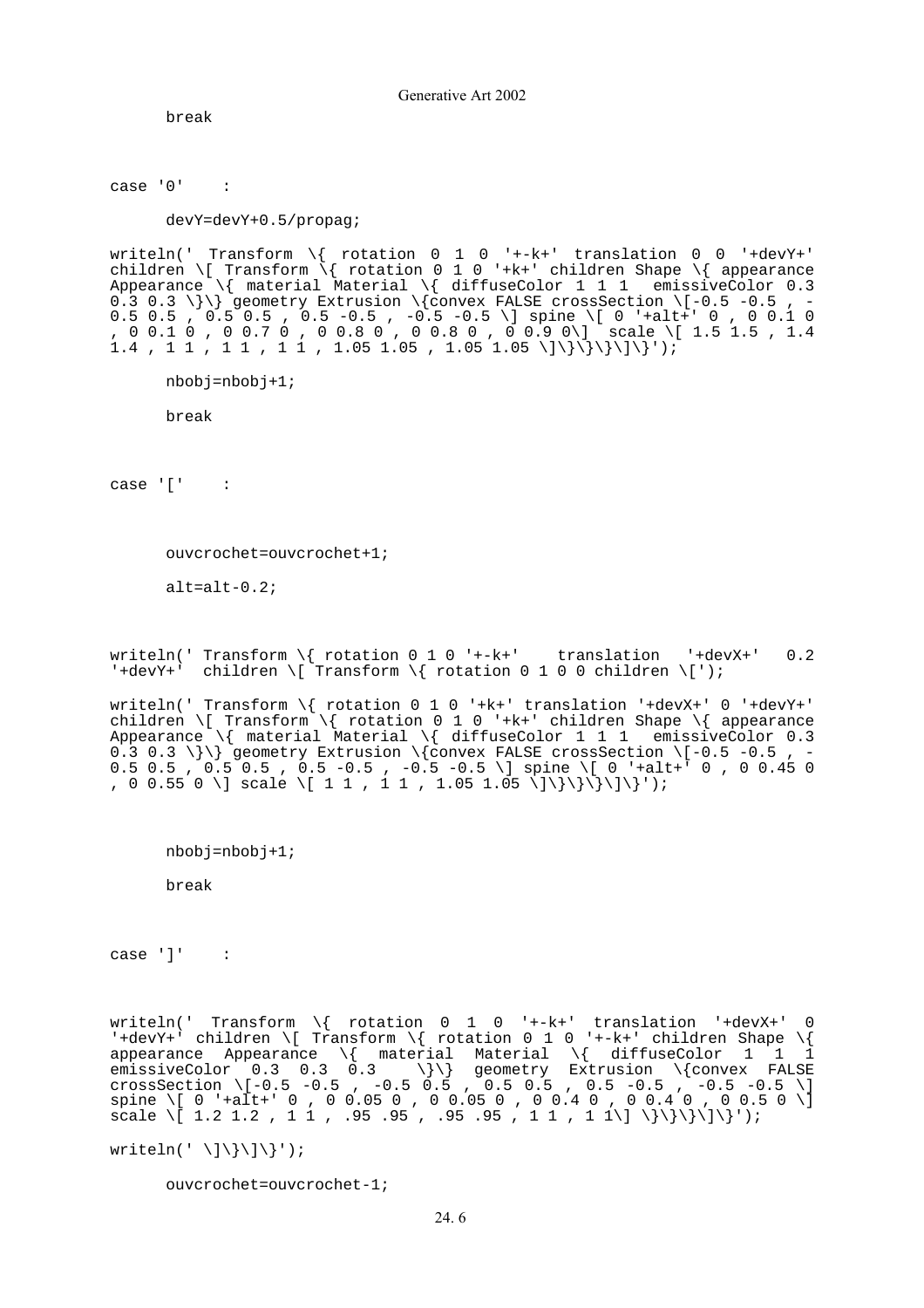break

 $case '0'$  :

devY=devY+0.5/propag;

writeln(' Transform \{ rotation 0 1 0 '+-k+' translation 0 0 '+devY+' children \[ Transform \{ rotation 0 1 0 '+k+' children Shape \{ appearance Appearance \{ material Material \{ diffuseColor 1 1 1 emissiveColor 0.3 0.3 0.3 \}\} geometry Extrusion \{convex FALSE crossSection \[-0.5 -0.5 , -0.5 0.5 , 0.5 0.5 , 0.5 -0.5 , -0.5 -0.5 \] spine \[ 0 '+alt+' 0 , 0 0.1 0 , 0 0.1 0 , 0 0.7 0 , 0 0.8 0 , 0 0.8 0 , 0 0.9 0\] scale \[ 1.5 1.5 , 1.4  $1.4$  ,  $1 \ 1$  ,  $1 \ 1$  ,  $1 \ 1$  ,  $1.05 \ 1.05$  ,  $1.05 \ 1.05 \ \langle |\rangle \rangle \rangle \rangle \rangle$ 

nbobj=nbobj+1;

break

 $case '[' :$ 

ouvcrochet=ouvcrochet+1;

alt=alt-0.2;

writeln(' Transform  $\{$  rotation 0 1 0 '+-k+' translation '+devX+' 0.2 '+devY+' children \[ Transform \{ rotation 0 1 0 0 children \[');

writeln(' Transform \{ rotation 0 1 0 '+k+' translation '+devX+' 0 '+devY+' children \[ Transform \{ rotation 0 1 0 '+k+' children Shape \{ appearance Appearance \{ material Material \{ diffuseColor 1 1 1 emissiveColor 0.3 0.3 0.3 \}\} geometry Extrusion \{convex FALSE crossSection \[-0.5 -0.5 , -0.5 0.5 , 0.5 0.5 , 0.5 -0.5 , -0.5 -0.5 \] spine \[ 0 '+alt+' 0 , 0 0.45 0 , 0 0.55 0 \] scale \[ 1 1 , 1 1 , 1.05 1.05 \]\}\}\}\}\]\}');

nbobj=nbobj+1;

break

 $case ']'$  :

writeln(' Transform \{ rotation 0 1 0 '+-k+' translation '+devX+' 0 '+devY+' children \[ Transform \{ rotation 0 1 0 '+-k+' children Shape \{ appearance Appearance  $\setminus\{$  material Material  $\setminus\{$  diffuseColor 1 1 1 emissiveColor 0.3 0.3 0.3 \}\} geometry Extrusion \{convex FALSE crossSection \[-0.5 -0.5 , -0.5 0.5 , 0.5 0.5 , 0.5 -0.5 , -0.5 -0.5 \] spine \[ 0 '+alt+' 0 , 0 0.05 0 , 0 0.05 0 , 0 0.4 0 , 0 0.4 0 , 0 0.5 0 \] scale \[ 1.2 1.2 , 1 1 , .95 .95 , .95 .95 , 1 1 , 1 1\] \}\}\}\}\}');

writeln(' \]\}\]\}');

ouvcrochet=ouvcrochet-1;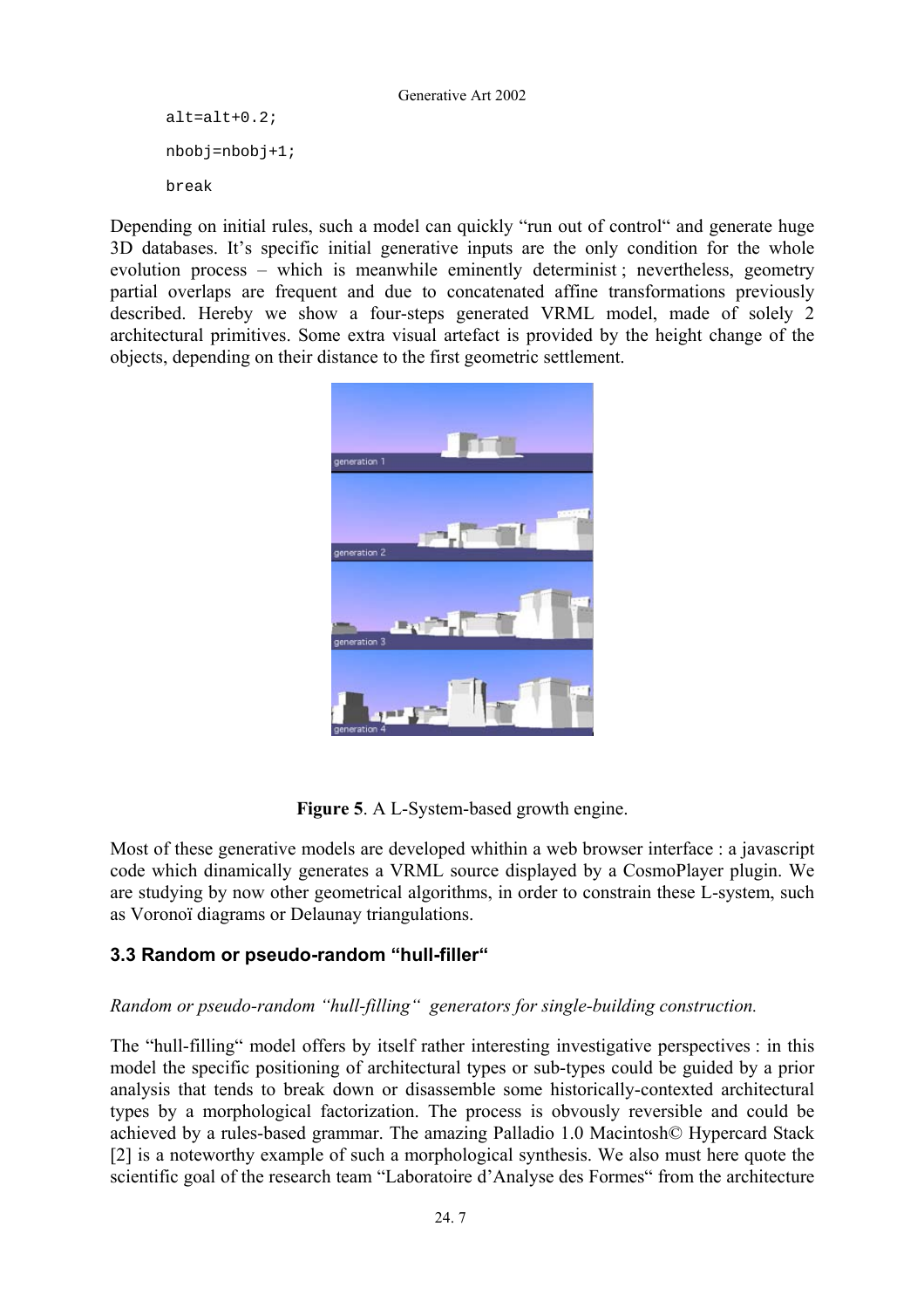```
alt=alt+0.2;
 nbobj=nbobj+1; 
break
```
Depending on initial rules, such a model can quickly "run out of control" and generate huge 3D databases. It's specific initial generative inputs are the only condition for the whole evolution process – which is meanwhile eminently determinist ; nevertheless, geometry partial overlaps are frequent and due to concatenated affine transformations previously described. Hereby we show a four-steps generated VRML model, made of solely 2 architectural primitives. Some extra visual artefact is provided by the height change of the objects, depending on their distance to the first geometric settlement.



**Figure 5**. A L-System-based growth engine.

Most of these generative models are developed whithin a web browser interface : a javascript code which dinamically generates a VRML source displayed by a CosmoPlayer plugin. We are studying by now other geometrical algorithms, in order to constrain these L-system, such as Voronoï diagrams or Delaunay triangulations.

## **3.3 Random or pseudo-random "hull-filler"**

### *Random or pseudo-random "hull-filling" generators for single-building construction.*

The "hull-filling" model offers by itself rather interesting investigative perspectives : in this model the specific positioning of architectural types or sub-types could be guided by a prior analysis that tends to break down or disassemble some historically-contexted architectural types by a morphological factorization. The process is obvously reversible and could be achieved by a rules-based grammar. The amazing Palladio 1.0 Macintosh© Hypercard Stack [2] is a noteworthy example of such a morphological synthesis. We also must here quote the scientific goal of the research team "Laboratoire d'Analyse des Formes" from the architecture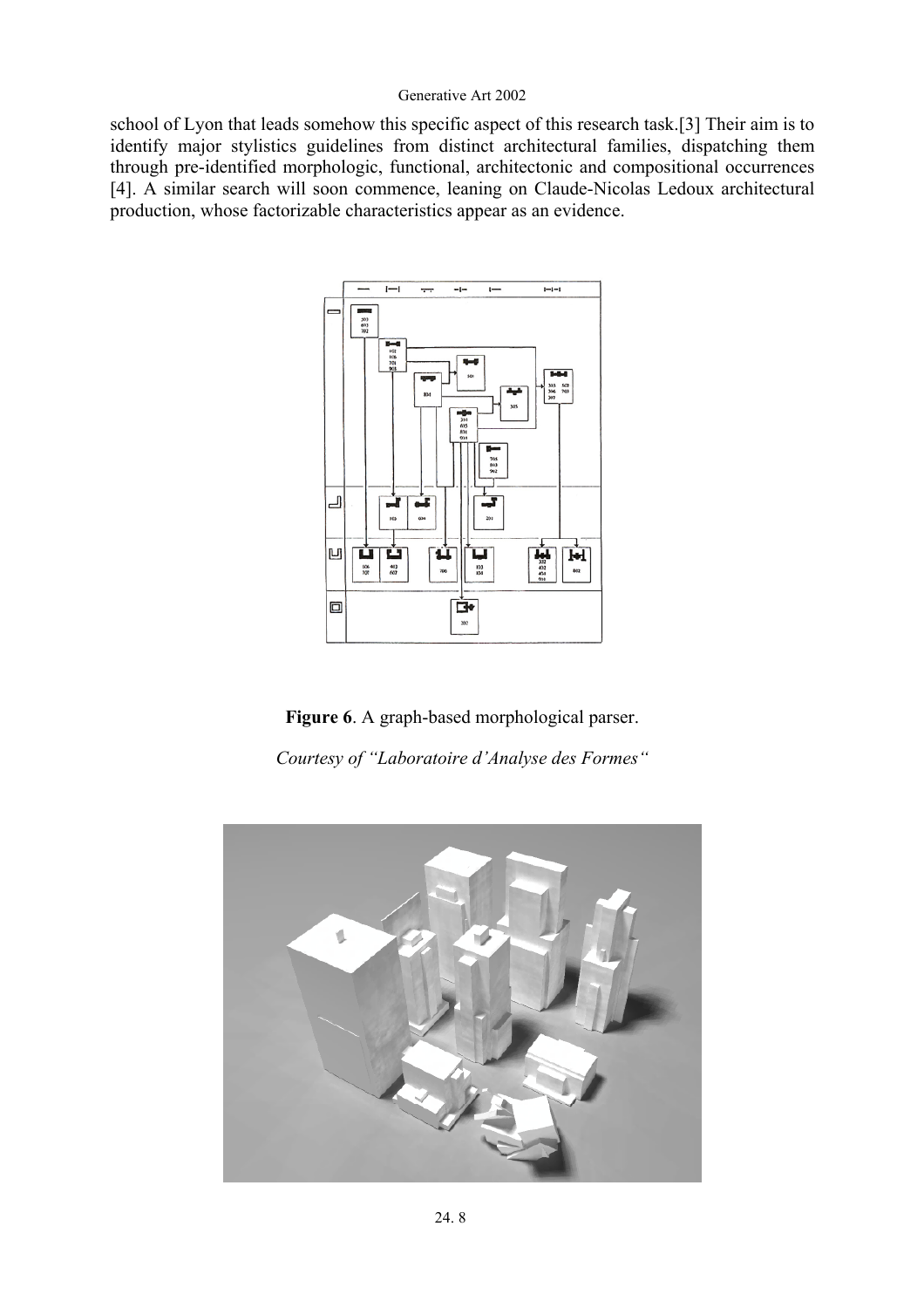school of Lyon that leads somehow this specific aspect of this research task.[3] Their aim is to identify major stylistics guidelines from distinct architectural families, dispatching them through pre-identified morphologic, functional, architectonic and compositional occurrences [4]. A similar search will soon commence, leaning on Claude-Nicolas Ledoux architectural production, whose factorizable characteristics appear as an evidence.



**Figure 6**. A graph-based morphological parser.

*Courtesy of "Laboratoire d'Analyse des Formes"* 

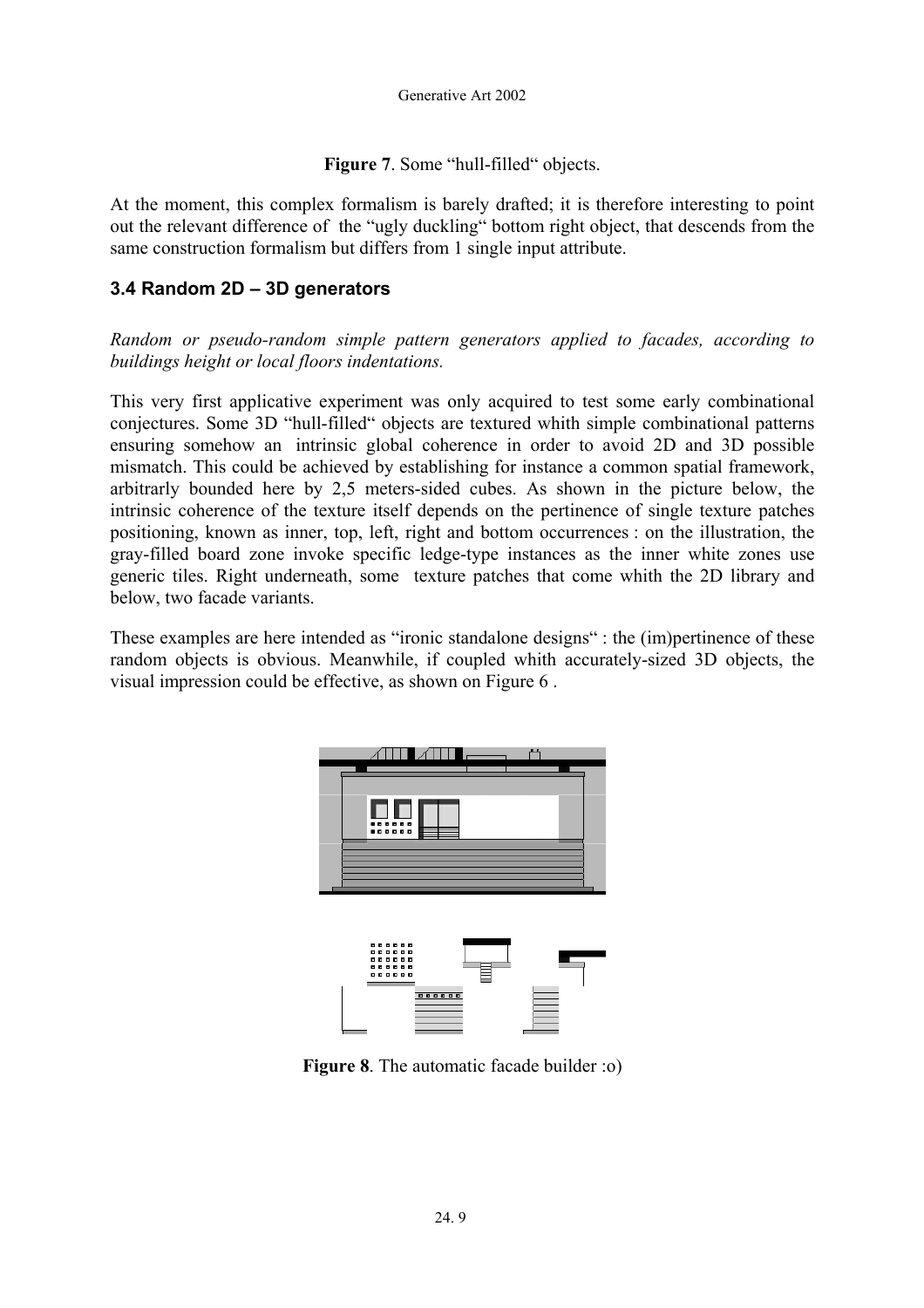Figure 7. Some "hull-filled" objects.

At the moment, this complex formalism is barely drafted; it is therefore interesting to point out the relevant difference of the "ugly duckling" bottom right object, that descends from the same construction formalism but differs from 1 single input attribute.

### **3.4 Random 2D – 3D generators**

*Random or pseudo-random simple pattern generators applied to facades, according to buildings height or local floors indentations.* 

This very first applicative experiment was only acquired to test some early combinational conjectures. Some 3D "hull-filled" objects are textured whith simple combinational patterns ensuring somehow an intrinsic global coherence in order to avoid 2D and 3D possible mismatch. This could be achieved by establishing for instance a common spatial framework, arbitrarly bounded here by 2,5 meters-sided cubes. As shown in the picture below, the intrinsic coherence of the texture itself depends on the pertinence of single texture patches positioning, known as inner, top, left, right and bottom occurrences : on the illustration, the gray-filled board zone invoke specific ledge-type instances as the inner white zones use generic tiles. Right underneath, some texture patches that come whith the 2D library and below, two facade variants.

These examples are here intended as "ironic standalone designs" : the (im)pertinence of these random objects is obvious. Meanwhile, if coupled whith accurately-sized 3D objects, the visual impression could be effective, as shown on Figure 6 .



**Figure 8**. The automatic facade builder :o)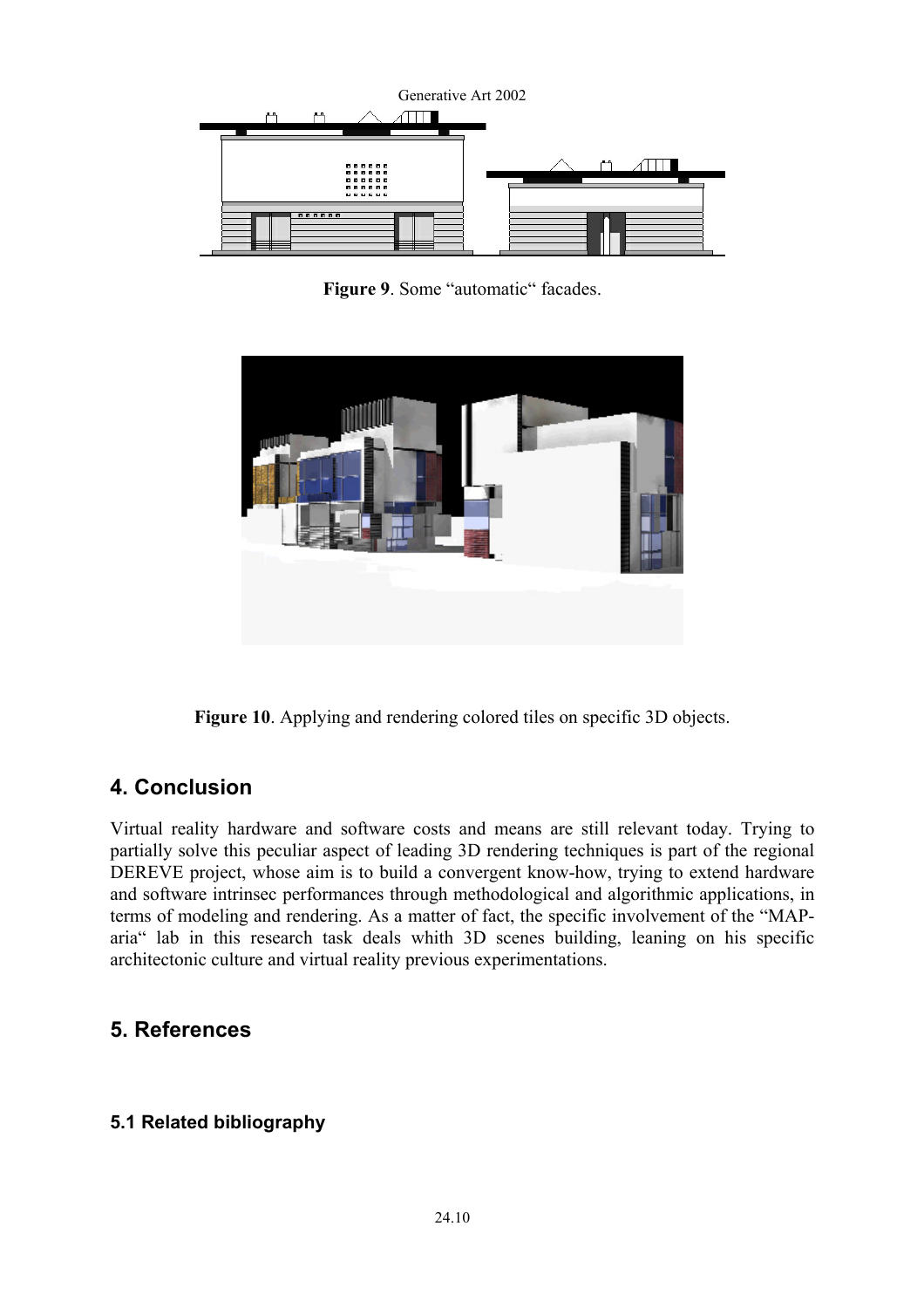

Figure 9. Some "automatic" facades.



**Figure 10**. Applying and rendering colored tiles on specific 3D objects.

# **4. Conclusion**

Virtual reality hardware and software costs and means are still relevant today. Trying to partially solve this peculiar aspect of leading 3D rendering techniques is part of the regional DEREVE project, whose aim is to build a convergent know-how, trying to extend hardware and software intrinsec performances through methodological and algorithmic applications, in terms of modeling and rendering. As a matter of fact, the specific involvement of the "MAParia" lab in this research task deals whith 3D scenes building, leaning on his specific architectonic culture and virtual reality previous experimentations.

# **5. References**

## **5.1 Related bibliography**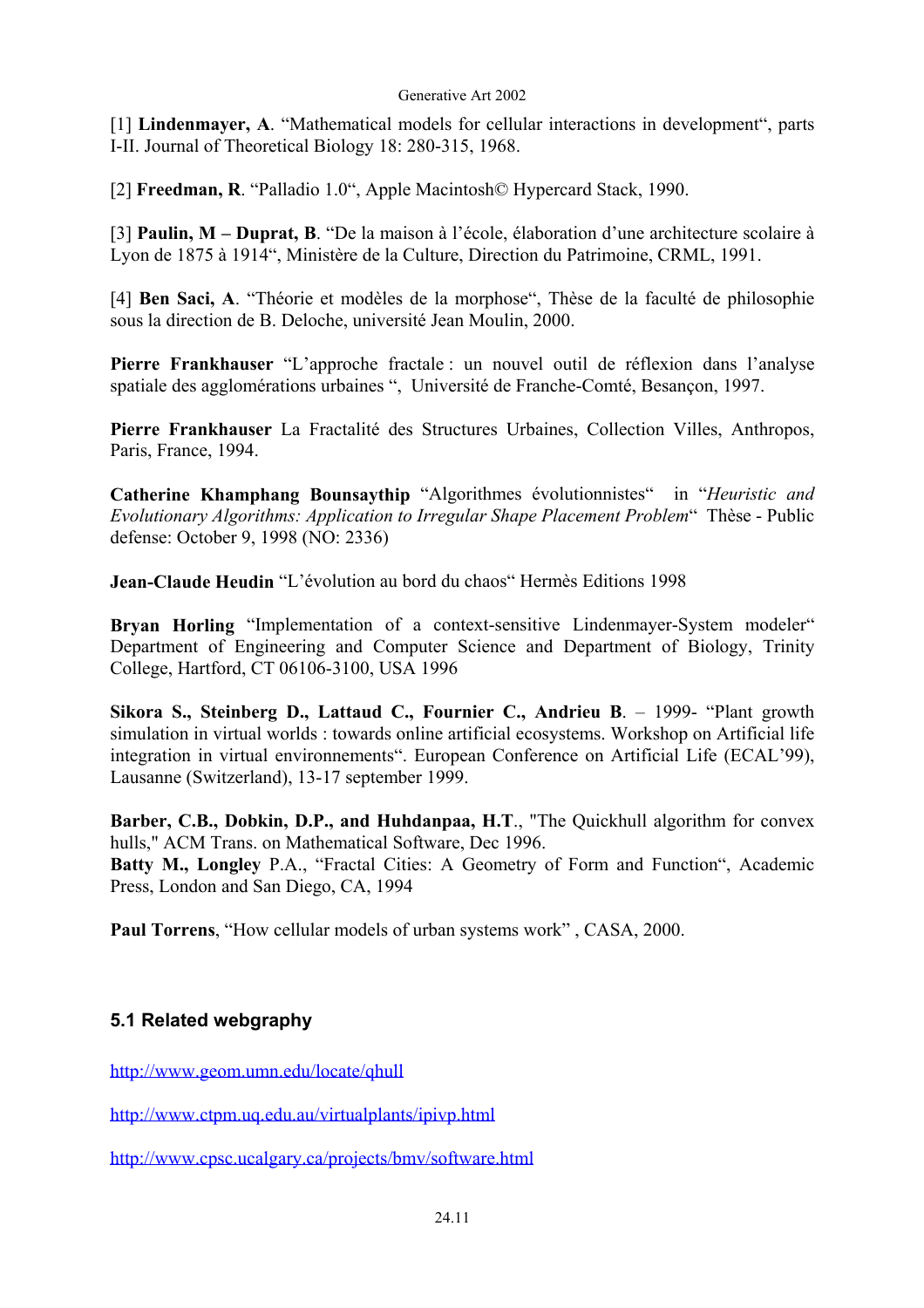[1] **Lindenmayer, A**. "Mathematical models for cellular interactions in development", parts I-II. Journal of Theoretical Biology 18: 280-315, 1968.

[2] **Freedman, R**. "Palladio 1.0", Apple Macintosh© Hypercard Stack, 1990.

[3] **Paulin, M – Duprat, B**. "De la maison à l'école, élaboration d'une architecture scolaire à Lyon de 1875 à 1914", Ministère de la Culture, Direction du Patrimoine, CRML, 1991.

[4] **Ben Saci, A**. "Théorie et modèles de la morphose", Thèse de la faculté de philosophie sous la direction de B. Deloche, université Jean Moulin, 2000.

**Pierre Frankhauser** "L'approche fractale : un nouvel outil de réflexion dans l'analyse spatiale des agglomérations urbaines ", Université de Franche-Comté, Besançon, 1997.

**Pierre Frankhauser** La Fractalité des Structures Urbaines, Collection Villes, Anthropos, Paris, France, 1994.

**Catherine Khamphang Bounsaythip** "Algorithmes évolutionnistes" in "*Heuristic and Evolutionary Algorithms: Application to Irregular Shape Placement Problem*" Thèse - Public defense: October 9, 1998 (NO: 2336)

**Jean-Claude Heudin** "L'évolution au bord du chaos" Hermès Editions 1998

**Bryan Horling** "Implementation of a context-sensitive Lindenmayer-System modeler" Department of Engineering and Computer Science and Department of Biology, Trinity College, Hartford, CT 06106-3100, USA 1996

**Sikora S., Steinberg D., Lattaud C., Fournier C., Andrieu B**. – 1999- "Plant growth simulation in virtual worlds : towards online artificial ecosystems. Workshop on Artificial life integration in virtual environnements". European Conference on Artificial Life (ECAL'99), Lausanne (Switzerland), 13-17 september 1999.

**Barber, C.B., Dobkin, D.P., and Huhdanpaa, H.T**., "The Quickhull algorithm for convex hulls," ACM Trans. on Mathematical Software, Dec 1996. **Batty M., Longley** P.A., "Fractal Cities: A Geometry of Form and Function", Academic Press, London and San Diego, CA, 1994

**Paul Torrens**, "How cellular models of urban systems work" , CASA, 2000.

### **5.1 Related webgraphy**

<http://www.geom.umn.edu/locate/qhull>

<http://www.ctpm.uq.edu.au/virtualplants/ipivp.html>

<http://www.cpsc.ucalgary.ca/projects/bmv/software.html>